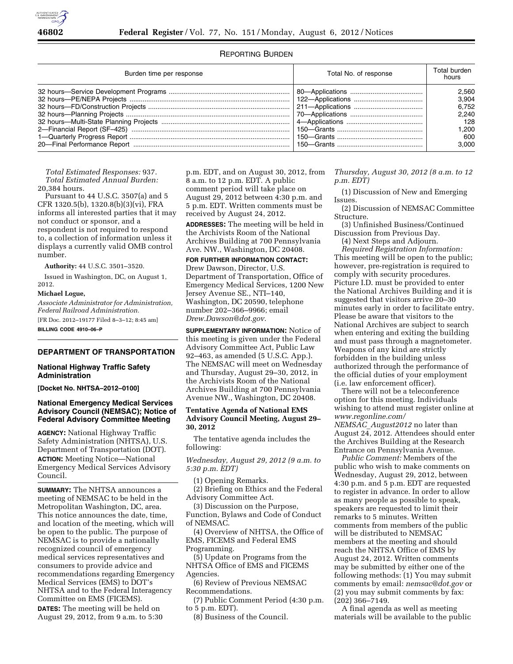

# REPORTING BURDEN

| Burden time per response | Total No. of response | Total burden<br>hours |
|--------------------------|-----------------------|-----------------------|
|                          |                       | 2.560                 |
|                          |                       | 3,904                 |
|                          |                       | 6.752                 |
|                          |                       | 2.240                 |
|                          |                       | 128                   |
|                          |                       | 1.200                 |
|                          |                       | 600                   |
|                          |                       | 3.000                 |

*Total Estimated Responses:* 937. *Total Estimated Annual Burden:*  20,384 hours.

Pursuant to 44 U.S.C. 3507(a) and 5 CFR 1320.5(b), 1320.8(b)(3)(vi), FRA informs all interested parties that it may not conduct or sponsor, and a respondent is not required to respond to, a collection of information unless it displays a currently valid OMB control number.

**Authority:** 44 U.S.C. 3501–3520.

Issued in Washington, DC, on August 1, 2012.

#### **Michael Logue,**

*Associate Administrator for Administration, Federal Railroad Administration.* 

[FR Doc. 2012–19177 Filed 8–3–12; 8:45 am]

**BILLING CODE 4910–06–P** 

## **DEPARTMENT OF TRANSPORTATION**

## **National Highway Traffic Safety Administration**

**[Docket No. NHTSA–2012–0100]** 

# **National Emergency Medical Services Advisory Council (NEMSAC); Notice of Federal Advisory Committee Meeting**

**AGENCY:** National Highway Traffic Safety Administration (NHTSA), U.S. Department of Transportation (DOT). **ACTION:** Meeting Notice—National Emergency Medical Services Advisory Council.

**SUMMARY:** The NHTSA announces a meeting of NEMSAC to be held in the Metropolitan Washington, DC, area. This notice announces the date, time, and location of the meeting, which will be open to the public. The purpose of NEMSAC is to provide a nationally recognized council of emergency medical services representatives and consumers to provide advice and recommendations regarding Emergency Medical Services (EMS) to DOT's NHTSA and to the Federal Interagency Committee on EMS (FICEMS).

**DATES:** The meeting will be held on August 29, 2012, from 9 a.m. to 5:30

p.m. EDT, and on August 30, 2012, from 8 a.m. to 12 p.m. EDT. A public comment period will take place on August 29, 2012 between 4:30 p.m. and 5 p.m. EDT. Written comments must be received by August 24, 2012.

**ADDRESSES:** The meeting will be held in the Archivists Room of the National Archives Building at 700 Pennsylvania Ave. NW., Washington, DC 20408.

#### **FOR FURTHER INFORMATION CONTACT:**

Drew Dawson, Director, U.S. Department of Transportation, Office of Emergency Medical Services, 1200 New Jersey Avenue SE., NTI–140, Washington, DC 20590, telephone number 202–366–9966; email *[Drew.Dawson@dot.gov.](mailto:Drew.Dawson@dot.gov)* 

**SUPPLEMENTARY INFORMATION:** Notice of this meeting is given under the Federal Advisory Committee Act, Public Law 92–463, as amended (5 U.S.C. App.). The NEMSAC will meet on Wednesday and Thursday, August 29–30, 2012, in the Archivists Room of the National Archives Building at 700 Pennsylvania Avenue NW., Washington, DC 20408.

## **Tentative Agenda of National EMS Advisory Council Meeting, August 29– 30, 2012**

The tentative agenda includes the following:

*Wednesday, August 29, 2012 (9 a.m. to 5:30 p.m. EDT)* 

(1) Opening Remarks.

(2) Briefing on Ethics and the Federal Advisory Committee Act.

(3) Discussion on the Purpose, Function, Bylaws and Code of Conduct of NEMSAC.

(4) Overview of NHTSA, the Office of EMS, FICEMS and Federal EMS Programming.

(5) Update on Programs from the NHTSA Office of EMS and FICEMS Agencies.

(6) Review of Previous NEMSAC Recommendations.

(7) Public Comment Period (4:30 p.m. to 5 p.m. EDT).

(8) Business of the Council.

*Thursday, August 30, 2012 (8 a.m. to 12 p.m. EDT)* 

(1) Discussion of New and Emerging Issues.

(2) Discussion of NEMSAC Committee Structure.

(3) Unfinished Business/Continued Discussion from Previous Day.

(4) Next Steps and Adjourn.

*Required Registration Information:*  This meeting will be open to the public; however, pre-registration is required to comply with security procedures. Picture I.D. must be provided to enter the National Archives Building and it is suggested that visitors arrive 20–30 minutes early in order to facilitate entry. Please be aware that visitors to the National Archives are subject to search when entering and exiting the building and must pass through a magnetometer. Weapons of any kind are strictly forbidden in the building unless authorized through the performance of the official duties of your employment (i.e. law enforcement officer).

There will not be a teleconference option for this meeting. Individuals wishing to attend must register online at *[www.regonline.com/](http://www.regonline.com/NEMSAC_August2012) NEMSAC*\_*[August2012](http://www.regonline.com/NEMSAC_August2012)* no later than August 24, 2012. Attendees should enter the Archives Building at the Research Entrance on Pennsylvania Avenue.

*Public Comment:* Members of the public who wish to make comments on Wednesday, August 29, 2012, between 4:30 p.m. and 5 p.m. EDT are requested to register in advance. In order to allow as many people as possible to speak, speakers are requested to limit their remarks to 5 minutes. Written comments from members of the public will be distributed to NEMSAC members at the meeting and should reach the NHTSA Office of EMS by August 24, 2012. Written comments may be submitted by either one of the following methods: (1) You may submit comments by email: *[nemsac@dot.gov](mailto:nemsac@dot.gov)* or (2) you may submit comments by fax: (202) 366–7149.

A final agenda as well as meeting materials will be available to the public